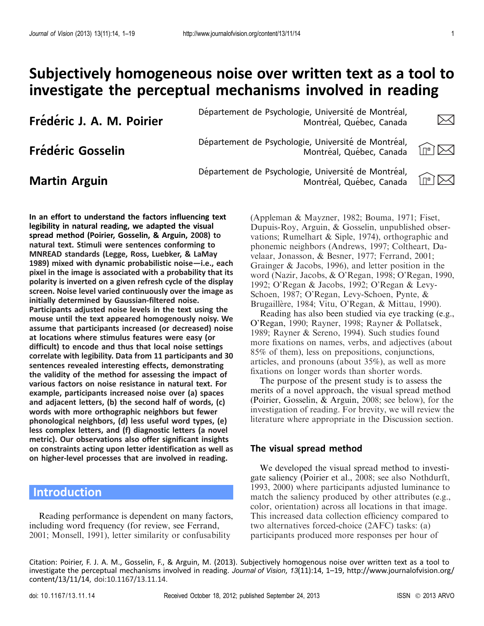# Subjectively homogeneous noise over written text as a tool to investigate the perceptual mechanisms involved in reading

Département de Psychologie, Université de Montréal,<br>Montréal, Québec, Canada **(1944)** Montréal, Québec, Canada (1945) Montréal, Québec, Canada

Département de Psychologie, Université de Montréal,<br>Montréal. Québec. Canada <sup>i i a</sup> Montréal, Ouébec. Canada i en Montréal, Ouébec. Canada i en Montréal, oué Montréal, Québec, Canada



Département de Psychologie, Université de Montréal,<br>Martin Arguin *i e de Montréal*, Québec, Canada Montréal, Québec, Canada



In an effort to understand the factors influencing text legibility in natural reading, we adapted the visual spread method (Poirier, Gosselin, & Arguin, [2008](#page-13-0)) to natural text. Stimuli were sentences conforming to MNREAD standards (Legge, Ross, Luebker, & LaMay [1989\)](#page-12-0) mixed with dynamic probabilistic noise—i.e., each pixel in the image is associated with a probability that its polarity is inverted on a given refresh cycle of the display screen. Noise level varied continuously over the image as initially determined by Gaussian-filtered noise. Participants adjusted noise levels in the text using the mouse until the text appeared homogenously noisy. We assume that participants increased (or decreased) noise at locations where stimulus features were easy (or difficult) to encode and thus that local noise settings correlate with legibility. Data from 11 participants and 30 sentences revealed interesting effects, demonstrating the validity of the method for assessing the impact of various factors on noise resistance in natural text. For example, participants increased noise over (a) spaces and adjacent letters, (b) the second half of words, (c) words with more orthographic neighbors but fewer phonological neighbors, (d) less useful word types, (e) less complex letters, and (f) diagnostic letters (a novel metric). Our observations also offer significant insights on constraints acting upon letter identification as well as on higher-level processes that are involved in reading.

### **Introduction**

Reading performance is dependent on many factors, including word frequency (for review, see Ferrand, [2001;](#page-12-0) Monsell, [1991\)](#page-12-0), letter similarity or confusability

(Appleman & Mayzner, [1982](#page-11-0); Bouma, [1971](#page-11-0); Fiset, Dupuis-Roy, Arguin, & Gosselin, unpublished observations; Rumelhart & Siple, [1974](#page-13-0)), orthographic and phonemic neighbors (Andrews, [1997;](#page-11-0) Coltheart, Davelaar, Jonasson, & Besner, [1977](#page-11-0); Ferrand, [2001;](#page-12-0) Grainger & Jacobs, [1996\)](#page-12-0), and letter position in the word (Nazir, Jacobs, & O'Regan, [1998](#page-12-0); O'Regan, [1990](#page-12-0), [1992;](#page-12-0) O'Regan & Jacobs, [1992;](#page-13-0) O'Regan & Levy-Schoen, [1987](#page-13-0); O'Regan, Levy-Schoen, Pynte, & Brugaillère, [1984;](#page-13-0) Vitu, O'Regan, & Mittau, [1990\)](#page-14-0).

Reading has also been studied via eye tracking (e.g., O'Regan, [1990](#page-12-0); Rayner, [1998;](#page-13-0) Rayner & Pollatsek, [1989;](#page-13-0) Rayner & Sereno, [1994](#page-13-0)). Such studies found more fixations on names, verbs, and adjectives (about 85% of them), less on prepositions, conjunctions, articles, and pronouns (about 35%), as well as more fixations on longer words than shorter words.

The purpose of the present study is to assess the merits of a novel approach, the visual spread method (Poirier, Gosselin, & Arguin, [2008;](#page-13-0) see below), for the investigation of reading. For brevity, we will review the literature where appropriate in the [Discussion](#page-7-0) section.

#### The visual spread method

We developed the visual spread method to investigate saliency (Poirier et al., [2008](#page-13-0); see also Nothdurft, [1993, 2000](#page-12-0)) where participants adjusted luminance to match the saliency produced by other attributes (e.g., color, orientation) across all locations in that image. This increased data collection efficiency compared to two alternatives forced-choice (2AFC) tasks: (a) participants produced more responses per hour of

Citation: Poirier, F. J. A. M., Gosselin, F., & Arguin, M. (2013). Subjectively homogenous noise over written text as a tool to investigate the perceptual mechanisms involved in reading. Journal of Vision, 13(11):14, 1–19, http://www.journalofvision.org/ content/13/11/14, doi:10.1167/13.11.14.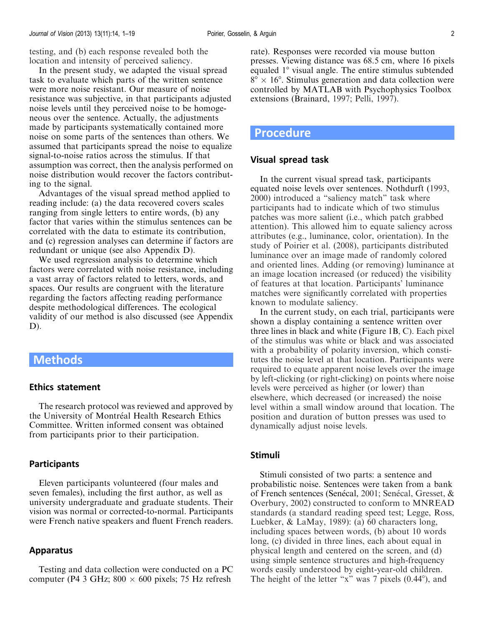testing, and (b) each response revealed both the location and intensity of perceived saliency.

In the present study, we adapted the visual spread task to evaluate which parts of the written sentence were more noise resistant. Our measure of noise resistance was subjective, in that participants adjusted noise levels until they perceived noise to be homogeneous over the sentence. Actually, the adjustments made by participants systematically contained more noise on some parts of the sentences than others. We assumed that participants spread the noise to equalize signal-to-noise ratios across the stimulus. If that assumption was correct, then the analysis performed on noise distribution would recover the factors contributing to the signal.

Advantages of the visual spread method applied to reading include: (a) the data recovered covers scales ranging from single letters to entire words, (b) any factor that varies within the stimulus sentences can be correlated with the data to estimate its contribution, and (c) regression analyses can determine if factors are redundant or unique (see also [Appendix D](#page-17-0)).

We used regression analysis to determine which factors were correlated with noise resistance, including a vast array of factors related to letters, words, and spaces. Our results are congruent with the literature regarding the factors affecting reading performance despite methodological differences. The ecological validity of our method is also discussed (see [Appendix](#page-17-0) [D](#page-17-0)).

### Methods

#### Ethics statement

The research protocol was reviewed and approved by the University of Montréal Health Research Ethics Committee. Written informed consent was obtained from participants prior to their participation.

#### Participants

Eleven participants volunteered (four males and seven females), including the first author, as well as university undergraduate and graduate students. Their vision was normal or corrected-to-normal. Participants were French native speakers and fluent French readers.

#### Apparatus

Testing and data collection were conducted on a PC computer (P4 3 GHz;  $800 \times 600$  pixels; 75 Hz refresh

rate). Responses were recorded via mouse button presses. Viewing distance was 68.5 cm, where 16 pixels equaled 1<sup>°</sup> visual angle. The entire stimulus subtended  $8^{\circ} \times 16^{\circ}$ . Stimulus generation and data collection were controlled by MATLAB with Psychophysics Toolbox extensions (Brainard, [1997;](#page-11-0) Pelli, [1997](#page-13-0)).

### Procedure

#### Visual spread task

In the current visual spread task, participants equated noise levels over sentences. Nothdurft ([1993,](#page-12-0) [2000\)](#page-12-0) introduced a ''saliency match'' task where participants had to indicate which of two stimulus patches was more salient (i.e., which patch grabbed attention). This allowed him to equate saliency across attributes (e.g., luminance, color, orientation). In the study of Poirier et al. ([2008\)](#page-13-0), participants distributed luminance over an image made of randomly colored and oriented lines. Adding (or removing) luminance at an image location increased (or reduced) the visibility of features at that location. Participants' luminance matches were significantly correlated with properties known to modulate saliency.

In the current study, on each trial, participants were shown a display containing a sentence written over three lines in black and white ([Figure 1B, C](#page-2-0)). Each pixel of the stimulus was white or black and was associated with a probability of polarity inversion, which constitutes the noise level at that location. Participants were required to equate apparent noise levels over the image by left-clicking (or right-clicking) on points where noise levels were perceived as higher (or lower) than elsewhere, which decreased (or increased) the noise level within a small window around that location. The position and duration of button presses was used to dynamically adjust noise levels.

#### Stimuli

Stimuli consisted of two parts: a sentence and probabilistic noise. Sentences were taken from a bank of French sentences (Senécal, [2001;](#page-13-0) Senécal, Gresset, & Overbury, [2002\)](#page-13-0) constructed to conform to MNREAD standards (a standard reading speed test; Legge, Ross, Luebker, & LaMay, [1989\)](#page-12-0): (a) 60 characters long, including spaces between words, (b) about 10 words long, (c) divided in three lines, each about equal in physical length and centered on the screen, and (d) using simple sentence structures and high-frequency words easily understood by eight-year-old children. The height of the letter " $x$ " was 7 pixels (0.44 $\degree$ ), and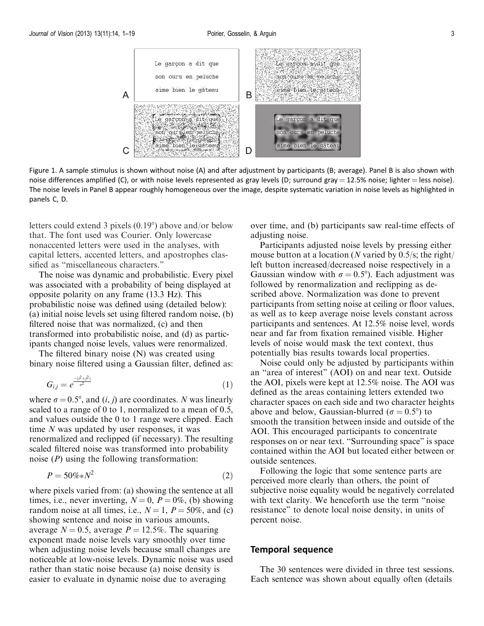<span id="page-2-0"></span>

Figure 1. A sample stimulus is shown without noise (A) and after adjustment by participants (B; average). Panel B is also shown with noise differences amplified (C), or with noise levels represented as gray levels (D; surround gray = 12.5% noise; lighter = less noise). The noise levels in Panel B appear roughly homogeneous over the image, despite systematic variation in noise levels as highlighted in panels C, D.

letters could extend 3 pixels  $(0.19^{\circ})$  above and/or below that. The font used was Courier. Only lowercase nonaccented letters were used in the analyses, with capital letters, accented letters, and apostrophes classified as ''miscellaneous characters.''

The noise was dynamic and probabilistic. Every pixel was associated with a probability of being displayed at opposite polarity on any frame (13.3 Hz). This probabilistic noise was defined using (detailed below): (a) initial noise levels set using filtered random noise, (b) filtered noise that was normalized, (c) and then transformed into probabilistic noise, and (d) as participants changed noise levels, values were renormalized.

The filtered binary noise (N) was created using binary noise filtered using a Gaussian filter, defined as:

$$
G_{i,j} = e^{\frac{-(i^2+j^2)}{\sigma^2}}
$$
 (1)

where  $\sigma = 0.5^{\circ}$ , and  $(i, j)$  are coordinates. N was linearly scaled to a range of 0 to 1, normalized to a mean of 0.5, and values outside the 0 to 1 range were clipped. Each time N was updated by user responses, it was

renormalized and reclipped (if necessary). The resulting scaled filtered noise was transformed into probability noise (P) using the following transformation:

$$
P = 50\% \cdot N^2 \tag{2}
$$

where pixels varied from: (a) showing the sentence at all times, i.e., never inverting,  $N = 0$ ,  $P = 0\%$ , (b) showing random noise at all times, i.e.,  $N = 1$ ,  $P = 50\%$ , and (c) showing sentence and noise in various amounts, average  $N = 0.5$ , average  $P = 12.5\%$ . The squaring exponent made noise levels vary smoothly over time when adjusting noise levels because small changes are noticeable at low-noise levels. Dynamic noise was used rather than static noise because (a) noise density is easier to evaluate in dynamic noise due to averaging

over time, and (b) participants saw real-time effects of adjusting noise.

Participants adjusted noise levels by pressing either mouse button at a location (N varied by 0.5/s; the right/ left button increased/decreased noise respectively in a Gaussian window with  $\sigma = 0.5^{\circ}$ ). Each adjustment was followed by renormalization and reclipping as described above. Normalization was done to prevent participants from setting noise at ceiling or floor values, as well as to keep average noise levels constant across participants and sentences. At 12.5% noise level, words near and far from fixation remained visible. Higher levels of noise would mask the text context, thus potentially bias results towards local properties.

Noise could only be adjusted by participants within an ''area of interest'' (AOI) on and near text. Outside the AOI, pixels were kept at 12.5% noise. The AOI was defined as the areas containing letters extended two character spaces on each side and two character heights above and below, Gaussian-blurred ( $\sigma = 0.5^{\circ}$ ) to smooth the transition between inside and outside of the AOI. This encouraged participants to concentrate responses on or near text. ''Surrounding space'' is space contained within the AOI but located either between or outside sentences.

Following the logic that some sentence parts are perceived more clearly than others, the point of subjective noise equality would be negatively correlated with text clarity. We henceforth use the term "noise" resistance'' to denote local noise density, in units of percent noise.

#### Temporal sequence

The 30 sentences were divided in three test sessions. Each sentence was shown about equally often (details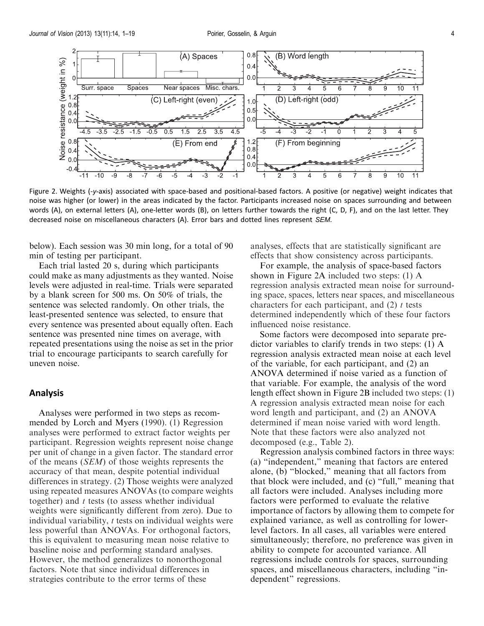<span id="page-3-0"></span>

Figure 2. Weights (-y-axis) associated with space-based and positional-based factors. A positive (or negative) weight indicates that noise was higher (or lower) in the areas indicated by the factor. Participants increased noise on spaces surrounding and between words (A), on external letters (A), one-letter words (B), on letters further towards the right (C, D, F), and on the last letter. They decreased noise on miscellaneous characters (A). Error bars and dotted lines represent SEM.

below). Each session was 30 min long, for a total of 90 min of testing per participant.

Each trial lasted 20 s, during which participants could make as many adjustments as they wanted. Noise levels were adjusted in real-time. Trials were separated by a blank screen for 500 ms. On 50% of trials, the sentence was selected randomly. On other trials, the least-presented sentence was selected, to ensure that every sentence was presented about equally often. Each sentence was presented nine times on average, with repeated presentations using the noise as set in the prior trial to encourage participants to search carefully for uneven noise.

#### Analysis

Analyses were performed in two steps as recommended by Lorch and Myers ([1990](#page-12-0)). (1) Regression analyses were performed to extract factor weights per participant. Regression weights represent noise change per unit of change in a given factor. The standard error of the means (SEM) of those weights represents the accuracy of that mean, despite potential individual differences in strategy. (2) Those weights were analyzed using repeated measures ANOVAs (to compare weights together) and  $t$  tests (to assess whether individual weights were significantly different from zero). Due to individual variability, t tests on individual weights were less powerful than ANOVAs. For orthogonal factors, this is equivalent to measuring mean noise relative to baseline noise and performing standard analyses. However, the method generalizes to nonorthogonal factors. Note that since individual differences in strategies contribute to the error terms of these

analyses, effects that are statistically significant are effects that show consistency across participants.

For example, the analysis of space-based factors shown in Figure 2A included two steps: (1) A regression analysis extracted mean noise for surrounding space, spaces, letters near spaces, and miscellaneous characters for each participant, and  $(2)$  t tests determined independently which of these four factors influenced noise resistance.

Some factors were decomposed into separate predictor variables to clarify trends in two steps: (1) A regression analysis extracted mean noise at each level of the variable, for each participant, and (2) an ANOVA determined if noise varied as a function of that variable. For example, the analysis of the word length effect shown in Figure 2B included two steps: (1) A regression analysis extracted mean noise for each word length and participant, and (2) an ANOVA determined if mean noise varied with word length. Note that these factors were also analyzed not decomposed (e.g., [Table 2\)](#page-4-0).

Regression analysis combined factors in three ways: (a) ''independent,'' meaning that factors are entered alone, (b) ''blocked,'' meaning that all factors from that block were included, and (c) ''full,'' meaning that all factors were included. Analyses including more factors were performed to evaluate the relative importance of factors by allowing them to compete for explained variance, as well as controlling for lowerlevel factors. In all cases, all variables were entered simultaneously; therefore, no preference was given in ability to compete for accounted variance. All regressions include controls for spaces, surrounding spaces, and miscellaneous characters, including ''independent'' regressions.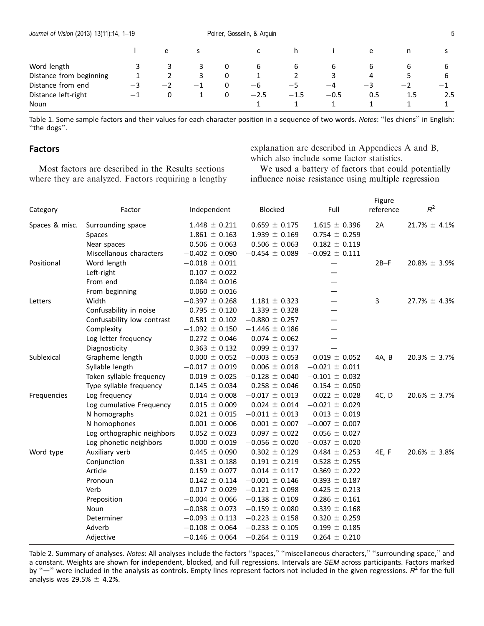<span id="page-4-0"></span>Journal of Vision (2013) 13(11):14, 1–19 Poirier, Gosselin, & Arguin 5

|                         |                          | e                        |      |   | ◡      |        |        | e   |                          |                                 |
|-------------------------|--------------------------|--------------------------|------|---|--------|--------|--------|-----|--------------------------|---------------------------------|
| Word length             |                          |                          | 3.   |   | b      | b      | b      | b   |                          | ь                               |
| Distance from beginning |                          |                          | 3    | 0 |        |        |        | 4   |                          | b                               |
| Distance from end       | $-5$                     | $\overline{\phantom{a}}$ | $-1$ | 0 | $-6$   | $-5$   | -4     | -5  | $\overline{\phantom{0}}$ | $\hspace{0.1mm}-\hspace{0.1mm}$ |
| Distance left-right     | $\overline{\phantom{0}}$ | 0                        |      | 0 | $-2.5$ | $-1.5$ | $-0.5$ | 0.5 | 1.5                      | 2.5                             |
| Noun                    |                          |                          |      |   |        |        |        |     |                          |                                 |

Table 1. Some sample factors and their values for each character position in a sequence of two words. Notes: "les chiens" in English: ''the dogs''.

#### Factors

Most factors are described in the Results sections where they are analyzed. Factors requiring a lengthy explanation are described in [Appendices A](#page-14-0) and [B](#page-16-0), which also include some factor statistics.

We used a battery of factors that could potentially influence noise resistance using multiple regression

| Category       | Factor                     | Independent        | <b>Blocked</b>     | Full               | Figure<br>reference | $R^2$              |
|----------------|----------------------------|--------------------|--------------------|--------------------|---------------------|--------------------|
| Spaces & misc. | Surrounding space          | $1.448 \pm 0.211$  | $0.659 \pm 0.175$  | $1.615 \pm 0.396$  | 2A                  | $21.7\% \pm 4.1\%$ |
|                | Spaces                     | $1.861 \pm 0.163$  | $1.939 \pm 0.169$  | $0.754 \pm 0.259$  |                     |                    |
|                | Near spaces                | $0.506 \pm 0.063$  | $0.506 \pm 0.063$  | $0.182 \pm 0.119$  |                     |                    |
|                | Miscellanous characters    | $-0.402 \pm 0.090$ | $-0.454 \pm 0.089$ | $-0.092 \pm 0.111$ |                     |                    |
| Positional     | Word length                | $-0.018 \pm 0.011$ |                    |                    | $2B-F$              | $20.8\% \pm 3.9\%$ |
|                | Left-right                 | $0.107 \pm 0.022$  |                    |                    |                     |                    |
|                | From end                   | $0.084 \pm 0.016$  |                    |                    |                     |                    |
|                | From beginning             | $0.060 \pm 0.016$  |                    |                    |                     |                    |
| Letters        | Width                      | $-0.397 \pm 0.268$ | $1.181 \pm 0.323$  |                    | 3                   | $27.7\% \pm 4.3\%$ |
|                | Confusability in noise     | $0.795 \pm 0.120$  | $1.339 \pm 0.328$  |                    |                     |                    |
|                | Confusability low contrast | $0.581 \pm 0.102$  | $-0.880 \pm 0.257$ |                    |                     |                    |
|                | Complexity                 | $-1.092 \pm 0.150$ | $-1.446 \pm 0.186$ |                    |                     |                    |
|                | Log letter frequency       | $0.272 \pm 0.046$  | $0.074 \pm 0.062$  |                    |                     |                    |
|                | Diagnosticity              | $0.363 \pm 0.132$  | $0.099 \pm 0.137$  |                    |                     |                    |
| Sublexical     | Grapheme length            | $0.000 \pm 0.052$  | $-0.003 \pm 0.053$ | $0.019 \pm 0.052$  | 4A, B               | $20.3\% \pm 3.7\%$ |
|                | Syllable length            | $-0.017 \pm 0.019$ | $0.006 \pm 0.018$  | $-0.021 \pm 0.011$ |                     |                    |
|                | Token syllable frequency   | $0.019 \pm 0.025$  | $-0.128 \pm 0.040$ | $-0.101 \pm 0.032$ |                     |                    |
|                | Type syllable frequency    | $0.145 \pm 0.034$  | $0.258 \pm 0.046$  | $0.154 \pm 0.050$  |                     |                    |
| Frequencies    | Log frequency              | $0.014 \pm 0.008$  | $-0.017 \pm 0.013$ | $0.022 \pm 0.028$  | 4C, D               | $20.6\% \pm 3.7\%$ |
|                | Log cumulative Frequency   | $0.015 \pm 0.009$  | $0.024 \pm 0.014$  | $-0.021 \pm 0.029$ |                     |                    |
|                | N homographs               | $0.021 \pm 0.015$  | $-0.011 \pm 0.013$ | $0.013 \pm 0.019$  |                     |                    |
|                | N homophones               | $0.001 \pm 0.006$  | $0.001 \pm 0.007$  | $-0.007 \pm 0.007$ |                     |                    |
|                | Log orthographic neighbors | $0.052 \pm 0.023$  | $0.097 \pm 0.022$  | $0.056 \pm 0.027$  |                     |                    |
|                | Log phonetic neighbors     | $0.000 \pm 0.019$  | $-0.056 \pm 0.020$ | $-0.037 \pm 0.020$ |                     |                    |
| Word type      | Auxiliary verb             | $0.445 \pm 0.090$  | $0.302 \pm 0.129$  | $0.484 \pm 0.253$  | 4E, F               | $20.6\% \pm 3.8\%$ |
|                | Conjunction                | $0.331 \pm 0.188$  | $0.191 \pm 0.219$  | $0.528 \pm 0.255$  |                     |                    |
|                | Article                    | $0.159 \pm 0.077$  | $0.014 \pm 0.117$  | $0.369 \pm 0.222$  |                     |                    |
|                | Pronoun                    | $0.142 \pm 0.114$  | $-0.001 \pm 0.146$ | $0.393 \pm 0.187$  |                     |                    |
|                | Verb                       | $0.017 \pm 0.029$  | $-0.121 \pm 0.098$ | $0.425 \pm 0.213$  |                     |                    |
|                | Preposition                | $-0.004 \pm 0.066$ | $-0.138 \pm 0.109$ | $0.286 \pm 0.161$  |                     |                    |
|                | Noun                       | $-0.038 \pm 0.073$ | $-0.159 \pm 0.080$ | $0.339 \pm 0.168$  |                     |                    |
|                | Determiner                 | $-0.093 \pm 0.113$ | $-0.223 \pm 0.158$ | $0.320 \pm 0.259$  |                     |                    |
|                | Adverb                     | $-0.108 \pm 0.064$ | $-0.233 \pm 0.105$ | $0.199 \pm 0.185$  |                     |                    |
|                | Adjective                  | $-0.146 \pm 0.064$ | $-0.264 \pm 0.119$ | $0.264 \pm 0.210$  |                     |                    |

Table 2. Summary of analyses. Notes: All analyses include the factors "spaces," "miscellaneous characters," "surrounding space," and a constant. Weights are shown for independent, blocked, and full regressions. Intervals are SEM across participants. Factors marked by "—" were included in the analysis as controls. Empty lines represent factors not included in the given regressions.  $R^2$  for the full analysis was  $29.5% \pm 4.2%$ .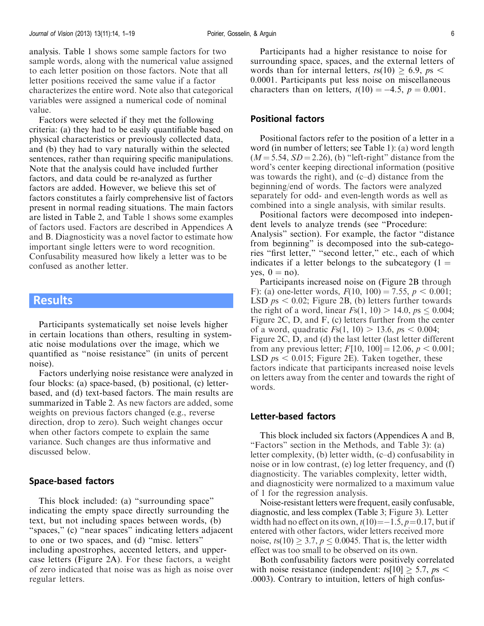analysis. [Table 1](#page-4-0) shows some sample factors for two sample words, along with the numerical value assigned to each letter position on those factors. Note that all letter positions received the same value if a factor characterizes the entire word. Note also that categorical variables were assigned a numerical code of nominal value.

Factors were selected if they met the following criteria: (a) they had to be easily quantifiable based on physical characteristics or previously collected data, and (b) they had to vary naturally within the selected sentences, rather than requiring specific manipulations. Note that the analysis could have included further factors, and data could be re-analyzed as further factors are added. However, we believe this set of factors constitutes a fairly comprehensive list of factors present in normal reading situations. The main factors are listed in [Table 2](#page-4-0), and [Table 1](#page-4-0) shows some examples of factors used. Factors are described in [Appendices A](#page-14-0) and [B](#page-16-0). Diagnosticity was a novel factor to estimate how important single letters were to word recognition. Confusability measured how likely a letter was to be confused as another letter.

### Results

Participants systematically set noise levels higher in certain locations than others, resulting in systematic noise modulations over the image, which we quantified as ''noise resistance'' (in units of percent noise).

Factors underlying noise resistance were analyzed in four blocks: (a) space-based, (b) positional, (c) letterbased, and (d) text-based factors. The main results are summarized in [Table 2.](#page-4-0) As new factors are added, some weights on previous factors changed (e.g., reverse direction, drop to zero). Such weight changes occur when other factors compete to explain the same variance. Such changes are thus informative and discussed below.

#### Space-based factors

This block included: (a) ''surrounding space'' indicating the empty space directly surrounding the text, but not including spaces between words, (b) "spaces," (c) "near spaces" indicating letters adjacent to one or two spaces, and (d) ''misc. letters'' including apostrophes, accented letters, and uppercase letters [\(Figure 2A](#page-3-0)). For these factors, a weight of zero indicated that noise was as high as noise over regular letters.

Participants had a higher resistance to noise for surrounding space, spaces, and the external letters of words than for internal letters,  $ts(10) \ge 6.9$ ,  $ps <$ 0.0001. Participants put less noise on miscellaneous characters than on letters,  $t(10) = -4.5$ ,  $p = 0.001$ .

#### Positional factors

Positional factors refer to the position of a letter in a word (in number of letters; see [Table 1\)](#page-4-0): (a) word length  $(M=5.54, SD=2.26)$ , (b) "left-right" distance from the word's center keeping directional information (positive was towards the right), and  $(c-d)$  distance from the beginning/end of words. The factors were analyzed separately for odd- and even-length words as well as combined into a single analysis, with similar results.

Positional factors were decomposed into independent levels to analyze trends (see ''Procedure: Analysis'' section). For example, the factor ''distance from beginning'' is decomposed into the sub-categories "first letter," "second letter," etc., each of which indicates if a letter belongs to the subcategory  $(1 =$ yes,  $0 = no$ ).

Participants increased noise on ([Figure 2B](#page-3-0) through [F](#page-3-0)): (a) one-letter words,  $F(10, 100) = 7.55$ ,  $p < 0.001$ ; LSD  $ps < 0.02$ ; [Figure 2B](#page-3-0), (b) letters further towards the right of a word, linear  $Fs(1, 10) > 14.0$ ,  $ps \le 0.004$ ; [Figure 2C](#page-3-0), [D,](#page-3-0) and [F,](#page-3-0) (c) letters further from the center of a word, quadratic  $Fs(1, 10) > 13.6$ ,  $ps < 0.004$ ; [Figure 2C](#page-3-0), [D,](#page-3-0) and (d) the last letter (last letter different from any previous letter;  $F[10, 100] = 12.06, p < 0.001$ ; LSD  $ps < 0.015$ ; [Figure 2E\)](#page-3-0). Taken together, these factors indicate that participants increased noise levels on letters away from the center and towards the right of words.

#### Letter-based factors

This block included six factors ([Appendices A](#page-14-0) and [B](#page-16-0), "Factors" section in the Methods, and [Table 3](#page-6-0)): (a) letter complexity, (b) letter width, (c–d) confusability in noise or in low contrast, (e) log letter frequency, and (f) diagnosticity. The variables complexity, letter width, and diagnosticity were normalized to a maximum value of 1 for the regression analysis.

Noise-resistant letters were frequent, easily confusable, diagnostic, and less complex [\(Table 3](#page-6-0); [Figure 3](#page-6-0)). Letter width had no effect on its own,  $t(10) = -1.5, p = 0.17$ , but if entered with other factors, wider letters received more noise,  $ts(10) \geq 3.7$ ,  $p \leq 0.0045$ . That is, the letter width effect was too small to be observed on its own.

Both confusability factors were positively correlated with noise resistance (independent:  $t s[10] \geq 5.7$ ,  $p s <$ .0003). Contrary to intuition, letters of high confus-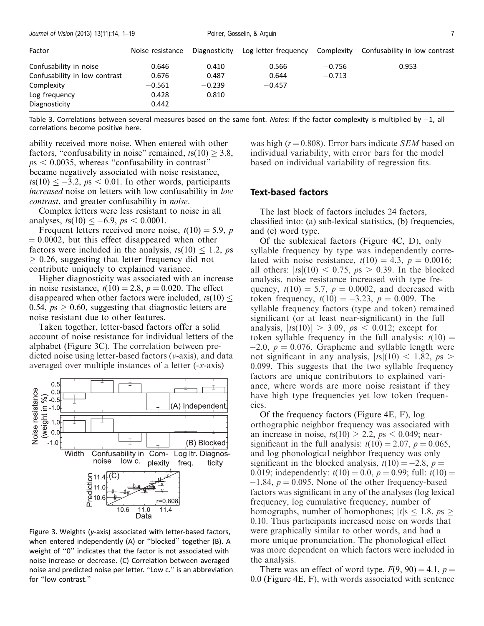<span id="page-6-0"></span>

| Factor                        | Noise resistance | Diagnosticity | Log letter frequency | Complexity | Confusability in low contrast |
|-------------------------------|------------------|---------------|----------------------|------------|-------------------------------|
| Confusability in noise        | 0.646            | 0.410         | 0.566                | $-0.756$   | 0.953                         |
| Confusability in low contrast | 0.676            | 0.487         | 0.644                | $-0.713$   |                               |
| Complexity                    | $-0.561$         | $-0.239$      | $-0.457$             |            |                               |
| Log frequency                 | 0.428            | 0.810         |                      |            |                               |
| Diagnosticity                 | 0.442            |               |                      |            |                               |

Table 3. Correlations between several measures based on the same font. Notes: If the factor complexity is multiplied by  $-1$ , all correlations become positive here.

ability received more noise. When entered with other factors, "confusability in noise" remained,  $ts(10) > 3.8$ ,  $ps < 0.0035$ , whereas "confusability in contrast" became negatively associated with noise resistance,  $t\text{s}(10) \leq -3.2$ ,  $p\text{s} < 0.01$ . In other words, participants increased noise on letters with low confusability in low contrast, and greater confusability in noise.

Complex letters were less resistant to noise in all analyses,  $t s(10) \le -6.9$ ,  $p s < 0.0001$ .

Frequent letters received more noise,  $t(10) = 5.9$ , p  $= 0.0002$ , but this effect disappeared when other factors were included in the analysis,  $ts(10) < 1.2$ , ps  $\geq$  0.26, suggesting that letter frequency did not contribute uniquely to explained variance.

Higher diagnosticity was associated with an increase in noise resistance,  $t(10) = 2.8$ ,  $p = 0.020$ . The effect disappeared when other factors were included,  $ts(10) \le$ 0.54,  $ps \geq 0.60$ , suggesting that diagnostic letters are noise resistant due to other features.

Taken together, letter-based factors offer a solid account of noise resistance for individual letters of the alphabet (Figure 3C). The correlation between predicted noise using letter-based factors  $(y\text{-axis})$ , and data averaged over multiple instances of a letter (-x-axis)



Figure 3. Weights (y-axis) associated with letter-based factors, when entered independently (A) or "blocked" together (B). A weight of "0" indicates that the factor is not associated with noise increase or decrease. (C) Correlation between averaged noise and predicted noise per letter. ''Low c.'' is an abbreviation for "low contrast."

was high ( $r = 0.808$ ). Error bars indicate *SEM* based on individual variability, with error bars for the model based on individual variability of regression fits.

#### Text-based factors

The last block of factors includes 24 factors, classified into: (a) sub-lexical statistics, (b) frequencies, and (c) word type.

Of the sublexical factors [\(Figure 4C](#page-7-0), [D](#page-7-0)), only syllable frequency by type was independently correlated with noise resistance,  $t(10) = 4.3$ ,  $p = 0.0016$ ; all others:  $|ts|(10) < 0.75$ ,  $ps > 0.39$ . In the blocked analysis, noise resistance increased with type frequency,  $t(10) = 5.7$ ,  $p = 0.0002$ , and decreased with token frequency,  $t(10) = -3.23$ ,  $p = 0.009$ . The syllable frequency factors (type and token) remained significant (or at least near-significant) in the full analysis,  $|ts(10)| > 3.09$ ,  $ps < 0.012$ ; except for token syllable frequency in the full analysis:  $t(10) =$  $-2.0, p = 0.076$ . Grapheme and syllable length were not significant in any analysis,  $|ts|(10) < 1.82$ ,  $ps >$ 0.099. This suggests that the two syllable frequency factors are unique contributors to explained variance, where words are more noise resistant if they have high type frequencies yet low token frequencies.

Of the frequency factors ([Figure 4E, F\)](#page-7-0), log orthographic neighbor frequency was associated with an increase in noise,  $ts(10) \ge 2.2$ ,  $ps \le 0.049$ ; nearsignificant in the full analysis:  $t(10) = 2.07$ ,  $p = 0.065$ , and log phonological neighbor frequency was only significant in the blocked analysis,  $t(10) = -2.8$ ,  $p =$ 0.019; independently:  $t(10) = 0.0$ ,  $p = 0.99$ ; full:  $t(10) =$  $-1.84$ ,  $p = 0.095$ . None of the other frequency-based factors was significant in any of the analyses (log lexical frequency, log cumulative frequency, number of homographs, number of homophones;  $|t|s \le 1.8$ ,  $p_s \ge$ 0.10. Thus participants increased noise on words that were graphically similar to other words, and had a more unique pronunciation. The phonological effect was more dependent on which factors were included in the analysis.

There was an effect of word type,  $F(9, 90) = 4.1$ ,  $p =$ 0.0 [\(Figure 4E](#page-7-0), [F](#page-7-0)), with words associated with sentence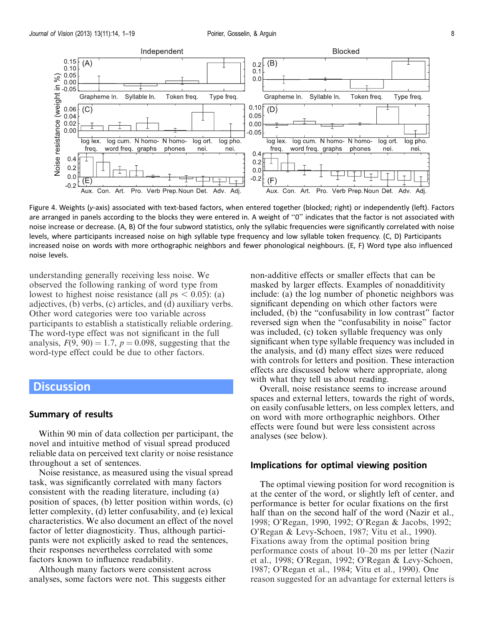<span id="page-7-0"></span>

Figure 4. Weights (y-axis) associated with text-based factors, when entered together (blocked; right) or independently (left). Factors are arranged in panels according to the blocks they were entered in. A weight of "0" indicates that the factor is not associated with noise increase or decrease. (A, B) Of the four subword statistics, only the syllabic frequencies were significantly correlated with noise levels, where participants increased noise on high syllable type frequency and low syllable token frequency. (C, D) Participants increased noise on words with more orthographic neighbors and fewer phonological neighbours. (E, F) Word type also influenced noise levels.

understanding generally receiving less noise. We observed the following ranking of word type from lowest to highest noise resistance (all  $ps < 0.05$ ): (a) adjectives, (b) verbs, (c) articles, and (d) auxiliary verbs. Other word categories were too variable across participants to establish a statistically reliable ordering. The word-type effect was not significant in the full analysis,  $F(9, 90) = 1.7$ ,  $p = 0.098$ , suggesting that the word-type effect could be due to other factors.

### **Discussion**

#### Summary of results

Within 90 min of data collection per participant, the novel and intuitive method of visual spread produced reliable data on perceived text clarity or noise resistance throughout a set of sentences.

Noise resistance, as measured using the visual spread task, was significantly correlated with many factors consistent with the reading literature, including (a) position of spaces, (b) letter position within words, (c) letter complexity, (d) letter confusability, and (e) lexical characteristics. We also document an effect of the novel factor of letter diagnosticity. Thus, although participants were not explicitly asked to read the sentences, their responses nevertheless correlated with some factors known to influence readability.

Although many factors were consistent across analyses, some factors were not. This suggests either

non-additive effects or smaller effects that can be masked by larger effects. Examples of nonadditivity include: (a) the log number of phonetic neighbors was significant depending on which other factors were included, (b) the ''confusability in low contrast'' factor reversed sign when the ''confusability in noise'' factor was included, (c) token syllable frequency was only significant when type syllable frequency was included in the analysis, and (d) many effect sizes were reduced with controls for letters and position. These interaction effects are discussed below where appropriate, along with what they tell us about reading.

Overall, noise resistance seems to increase around spaces and external letters, towards the right of words, on easily confusable letters, on less complex letters, and on word with more orthographic neighbors. Other effects were found but were less consistent across analyses (see below).

#### Implications for optimal viewing position

The optimal viewing position for word recognition is at the center of the word, or slightly left of center, and performance is better for ocular fixations on the first half than on the second half of the word (Nazir et al., [1998;](#page-12-0) O'Regan, [1990, 1992](#page-12-0); O'Regan & Jacobs, [1992;](#page-13-0) O'Regan & Levy-Schoen, [1987](#page-13-0); Vitu et al., [1990](#page-14-0)). Fixations away from the optimal position bring performance costs of about 10–20 ms per letter (Nazir et al., [1998;](#page-12-0) O'Regan, [1992;](#page-12-0) O'Regan & Levy-Schoen, [1987;](#page-13-0) O'Regan et al., [1984;](#page-13-0) Vitu et al., [1990](#page-14-0)). One reason suggested for an advantage for external letters is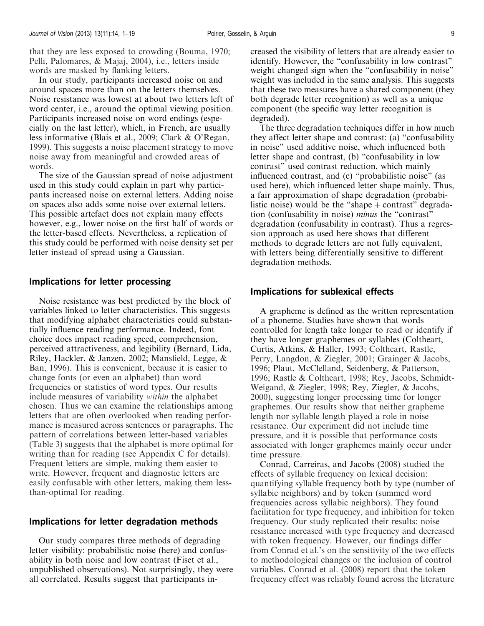that they are less exposed to crowding (Bouma, [1970;](#page-11-0) Pelli, Palomares, & Majaj, [2004\)](#page-13-0), i.e., letters inside words are masked by flanking letters.

In our study, participants increased noise on and around spaces more than on the letters themselves. Noise resistance was lowest at about two letters left of word center, i.e., around the optimal viewing position. Participants increased noise on word endings (especially on the last letter), which, in French, are usually less informative (Blais et al., [2009;](#page-11-0) Clark & O'Regan, [1999\)](#page-11-0). This suggests a noise placement strategy to move noise away from meaningful and crowded areas of words.

The size of the Gaussian spread of noise adjustment used in this study could explain in part why participants increased noise on external letters. Adding noise on spaces also adds some noise over external letters. This possible artefact does not explain many effects however, e.g., lower noise on the first half of words or the letter-based effects. Nevertheless, a replication of this study could be performed with noise density set per letter instead of spread using a Gaussian.

#### Implications for letter processing

Noise resistance was best predicted by the block of variables linked to letter characteristics. This suggests that modifying alphabet characteristics could substantially influence reading performance. Indeed, font choice does impact reading speed, comprehension, perceived attractiveness, and legibility (Bernard, Lida, Riley, Hackler, & Janzen, [2002;](#page-11-0) Mansfield, Legge, & Ban, [1996](#page-12-0)). This is convenient, because it is easier to change fonts (or even an alphabet) than word frequencies or statistics of word types. Our results include measures of variability within the alphabet chosen. Thus we can examine the relationships among letters that are often overlooked when reading performance is measured across sentences or paragraphs. The pattern of correlations between letter-based variables ([Table 3\)](#page-6-0) suggests that the alphabet is more optimal for writing than for reading (see [Appendix C](#page-16-0) for details). Frequent letters are simple, making them easier to write. However, frequent and diagnostic letters are easily confusable with other letters, making them lessthan-optimal for reading.

#### Implications for letter degradation methods

Our study compares three methods of degrading letter visibility: probabilistic noise (here) and confusability in both noise and low contrast (Fiset et al., unpublished observations). Not surprisingly, they were all correlated. Results suggest that participants increased the visibility of letters that are already easier to identify. However, the "confusability in low contrast" weight changed sign when the "confusability in noise" weight was included in the same analysis. This suggests that these two measures have a shared component (they both degrade letter recognition) as well as a unique component (the specific way letter recognition is degraded).

The three degradation techniques differ in how much they affect letter shape and contrast: (a) ''confusability in noise'' used additive noise, which influenced both letter shape and contrast, (b) ''confusability in low contrast'' used contrast reduction, which mainly influenced contrast, and (c) ''probabilistic noise'' (as used here), which influenced letter shape mainly. Thus, a fair approximation of shape degradation (probabilistic noise) would be the "shape  $+$  contrast" degradation (confusability in noise) minus the ''contrast'' degradation (confusability in contrast). Thus a regression approach as used here shows that different methods to degrade letters are not fully equivalent, with letters being differentially sensitive to different degradation methods.

#### Implications for sublexical effects

A grapheme is defined as the written representation of a phoneme. Studies have shown that words controlled for length take longer to read or identify if they have longer graphemes or syllables (Coltheart, Curtis, Atkins, & Haller, [1993;](#page-11-0) Coltheart, Rastle, Perry, Langdon, & Ziegler, [2001](#page-11-0); Grainger & Jacobs, [1996;](#page-12-0) Plaut, McClelland, Seidenberg, & Patterson, [1996;](#page-13-0) Rastle & Coltheart, [1998](#page-13-0); Rey, Jacobs, Schmidt-Weigand, & Ziegler, [1998](#page-13-0); Rey, Ziegler, & Jacobs, [2000\)](#page-13-0), suggesting longer processing time for longer graphemes. Our results show that neither grapheme length nor syllable length played a role in noise resistance. Our experiment did not include time pressure, and it is possible that performance costs associated with longer graphemes mainly occur under time pressure.

Conrad, Carreiras, and Jacobs [\(2008](#page-11-0)) studied the effects of syllable frequency on lexical decision: quantifying syllable frequency both by type (number of syllabic neighbors) and by token (summed word frequencies across syllabic neighbors). They found facilitation for type frequency, and inhibition for token frequency. Our study replicated their results: noise resistance increased with type frequency and decreased with token frequency. However, our findings differ from Conrad et al.'s on the sensitivity of the two effects to methodological changes or the inclusion of control variables. Conrad et al. [\(2008](#page-11-0)) report that the token frequency effect was reliably found across the literature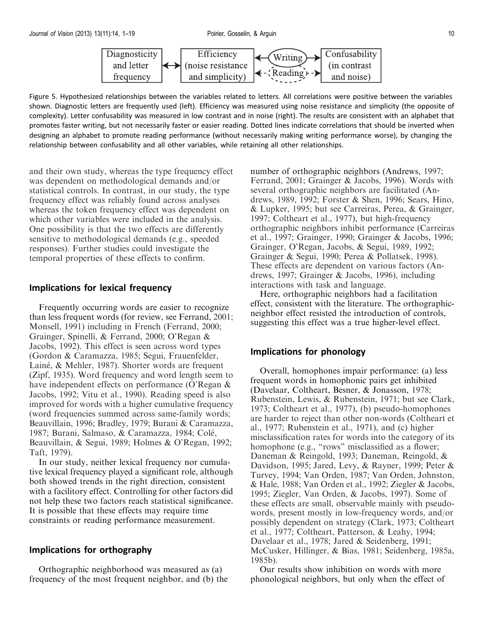

Figure 5. Hypothesized relationships between the variables related to letters. All correlations were positive between the variables shown. Diagnostic letters are frequently used (left). Efficiency was measured using noise resistance and simplicity (the opposite of complexity). Letter confusability was measured in low contrast and in noise (right). The results are consistent with an alphabet that promotes faster writing, but not necessarily faster or easier reading. Dotted lines indicate correlations that should be inverted when designing an alphabet to promote reading performance (without necessarily making writing performance worse), by changing the relationship between confusability and all other variables, while retaining all other relationships.

and their own study, whereas the type frequency effect was dependent on methodological demands and/or statistical controls. In contrast, in our study, the type frequency effect was reliably found across analyses whereas the token frequency effect was dependent on which other variables were included in the analysis. One possibility is that the two effects are differently sensitive to methodological demands (e.g., speeded responses). Further studies could investigate the temporal properties of these effects to confirm.

#### Implications for lexical frequency

Frequently occurring words are easier to recognize than less frequent words (for review, see Ferrand, [2001](#page-12-0); Monsell, [1991](#page-12-0)) including in French (Ferrand, [2000](#page-11-0); Grainger, Spinelli, & Ferrand, [2000;](#page-11-0) O'Regan & Jacobs, [1992\)](#page-13-0). This effect is seen across word types (Gordon & Caramazza, [1985;](#page-12-0) Segui, Frauenfelder, Lainé, & Mehler, [1987\)](#page-13-0). Shorter words are frequent (Zipf, [1935\)](#page-14-0). Word frequency and word length seem to have independent effects on performance (O'Regan & Jacobs, [1992;](#page-13-0) Vitu et al., [1990\)](#page-14-0). Reading speed is also improved for words with a higher cumulative frequency (word frequencies summed across same-family words; Beauvillain, [1996](#page-11-0); Bradley, [1979](#page-11-0); Burani & Caramazza, [1987;](#page-11-0) Burani, Salmaso, & Caramazza, [1984](#page-11-0); Colé, Beauvillain, & Segui, [1989](#page-11-0); Holmes & O'Regan, [1992](#page-12-0); Taft, [1979\)](#page-14-0).

In our study, neither lexical frequency nor cumulative lexical frequency played a significant role, although both showed trends in the right direction, consistent with a facilitory effect. Controlling for other factors did not help these two factors reach statistical significance. It is possible that these effects may require time constraints or reading performance measurement.

#### Implications for orthography

Orthographic neighborhood was measured as (a) frequency of the most frequent neighbor, and (b) the number of orthographic neighbors (Andrews, [1997](#page-11-0); Ferrand, [2001;](#page-12-0) Grainger & Jacobs, [1996\)](#page-12-0). Words with several orthographic neighbors are facilitated (Andrews, [1989,](#page-10-0) [1992](#page-11-0); Forster & Shen, [1996](#page-12-0); Sears, Hino, & Lupker, [1995;](#page-13-0) but see Carreiras, Perea, & Grainger, [1997;](#page-11-0) Coltheart et al., [1977\)](#page-11-0), but high-frequency orthographic neighbors inhibit performance (Carreiras et al., [1997;](#page-11-0) Grainger, [1990](#page-12-0); Grainger & Jacobs, [1996;](#page-12-0) Grainger, O'Regan, Jacobs, & Segui, [1989, 1992](#page-12-0); Grainger & Segui, [1990;](#page-12-0) Perea & Pollatsek, [1998](#page-13-0)). These effects are dependent on various factors (Andrews, [1997;](#page-11-0) Grainger & Jacobs, [1996](#page-12-0)), including interactions with task and language.

Here, orthographic neighbors had a facilitation effect, consistent with the literature. The orthographicneighbor effect resisted the introduction of controls, suggesting this effect was a true higher-level effect.

#### Implications for phonology

Overall, homophones impair performance: (a) less frequent words in homophonic pairs get inhibited (Davelaar, Coltheart, Besner, & Jonasson, [1978;](#page-11-0) Rubenstein, Lewis, & Rubenstein, [1971;](#page-13-0) but see Clark, [1973;](#page-11-0) Coltheart et al., [1977\)](#page-11-0), (b) pseudo-homophones are harder to reject than other non-words (Coltheart et al., [1977;](#page-11-0) Rubenstein et al., [1971](#page-13-0)), and (c) higher misclassification rates for words into the category of its homophone (e.g., "rows" misclassified as a flower; Daneman & Reingold, [1993;](#page-11-0) Daneman, Reingold, & Davidson, [1995;](#page-11-0) Jared, Levy, & Rayner, [1999;](#page-12-0) Peter & Turvey, [1994](#page-13-0); Van Orden, [1987;](#page-14-0) Van Orden, Johnston, & Hale, [1988](#page-14-0); Van Orden et al., [1992](#page-14-0); Ziegler & Jacobs, [1995;](#page-14-0) Ziegler, Van Orden, & Jacobs, [1997\)](#page-14-0). Some of these effects are small, observable mainly with pseudowords, present mostly in low-frequency words, and/or possibly dependent on strategy (Clark, [1973;](#page-11-0) Coltheart et al., [1977;](#page-11-0) Coltheart, Patterson, & Leahy, [1994;](#page-11-0) Davelaar et al., [1978](#page-11-0); Jared & Seidenberg, [1991;](#page-12-0) McCusker, Hillinger, & Bias, [1981](#page-12-0); Seidenberg, [1985a](#page-13-0), [1985b\)](#page-13-0).

Our results show inhibition on words with more phonological neighbors, but only when the effect of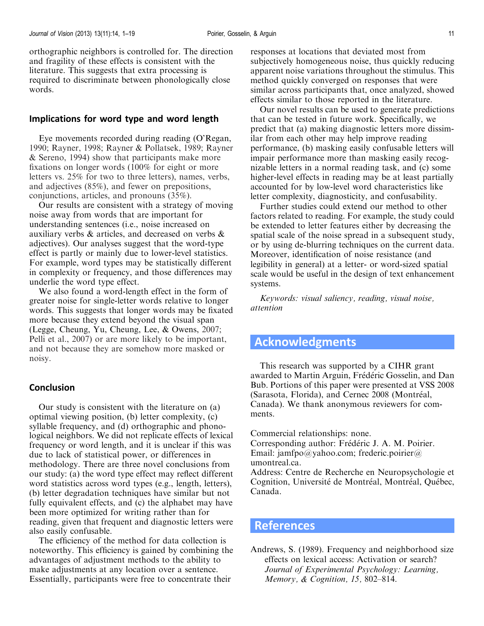<span id="page-10-0"></span>orthographic neighbors is controlled for. The direction and fragility of these effects is consistent with the literature. This suggests that extra processing is required to discriminate between phonologically close words.

#### Implications for word type and word length

Eye movements recorded during reading (O'Regan, [1990;](#page-12-0) Rayner, [1998;](#page-13-0) Rayner & Pollatsek, [1989](#page-13-0); Rayner & Sereno, [1994\)](#page-13-0) show that participants make more fixations on longer words (100% for eight or more letters vs. 25% for two to three letters), names, verbs, and adjectives (85%), and fewer on prepositions, conjunctions, articles, and pronouns (35%).

Our results are consistent with a strategy of moving noise away from words that are important for understanding sentences (i.e., noise increased on auxiliary verbs & articles, and decreased on verbs & adjectives). Our analyses suggest that the word-type effect is partly or mainly due to lower-level statistics. For example, word types may be statistically different in complexity or frequency, and those differences may underlie the word type effect.

We also found a word-length effect in the form of greater noise for single-letter words relative to longer words. This suggests that longer words may be fixated more because they extend beyond the visual span (Legge, Cheung, Yu, Cheung, Lee, & Owens, [2007](#page-12-0); Pelli et al., [2007\)](#page-13-0) or are more likely to be important, and not because they are somehow more masked or noisy.

#### Conclusion

Our study is consistent with the literature on (a) optimal viewing position, (b) letter complexity, (c) syllable frequency, and (d) orthographic and phonological neighbors. We did not replicate effects of lexical frequency or word length, and it is unclear if this was due to lack of statistical power, or differences in methodology. There are three novel conclusions from our study: (a) the word type effect may reflect different word statistics across word types (e.g., length, letters), (b) letter degradation techniques have similar but not fully equivalent effects, and (c) the alphabet may have been more optimized for writing rather than for reading, given that frequent and diagnostic letters were also easily confusable.

The efficiency of the method for data collection is noteworthy. This efficiency is gained by combining the advantages of adjustment methods to the ability to make adjustments at any location over a sentence. Essentially, participants were free to concentrate their

responses at locations that deviated most from subjectively homogeneous noise, thus quickly reducing apparent noise variations throughout the stimulus. This method quickly converged on responses that were similar across participants that, once analyzed, showed effects similar to those reported in the literature.

Our novel results can be used to generate predictions that can be tested in future work. Specifically, we predict that (a) making diagnostic letters more dissimilar from each other may help improve reading performance, (b) masking easily confusable letters will impair performance more than masking easily recognizable letters in a normal reading task, and (c) some higher-level effects in reading may be at least partially accounted for by low-level word characteristics like letter complexity, diagnosticity, and confusability.

Further studies could extend our method to other factors related to reading. For example, the study could be extended to letter features either by decreasing the spatial scale of the noise spread in a subsequent study, or by using de-blurring techniques on the current data. Moreover, identification of noise resistance (and legibility in general) at a letter- or word-sized spatial scale would be useful in the design of text enhancement systems.

Keywords: visual saliency, reading, visual noise, attention

### Acknowledgments

This research was supported by a CIHR grant awarded to Martin Arguin, Frédéric Gosselin, and Dan Bub. Portions of this paper were presented at VSS 2008 (Sarasota, Florida), and Cernec 2008 (Montréal, Canada). We thank anonymous reviewers for comments.

Commercial relationships: none.

Corresponding author: Frédéric J. A. M. Poirier. Email: jamfpo@yahoo.com; frederic.poirier@ umontreal.ca.

Address: Centre de Recherche en Neuropsychologie et Cognition, Université de Montréal, Montréal, Québec, Canada.

### **References**

Andrews, S. (1989). Frequency and neighborhood size effects on lexical access: Activation or search? Journal of Experimental Psychology: Learning, Memory, & Cognition, 15, 802-814.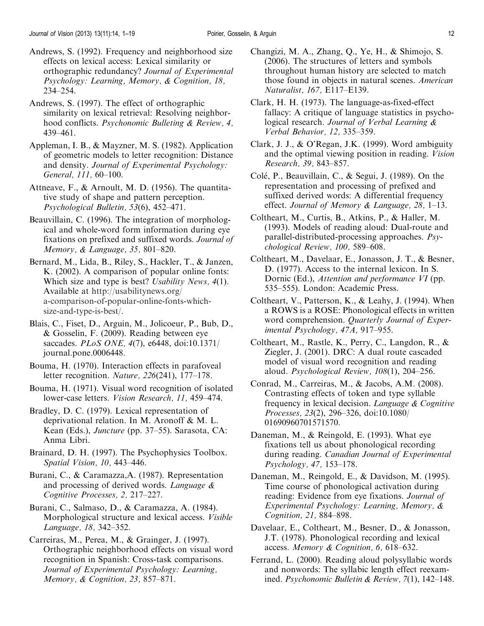- <span id="page-11-0"></span>Andrews, S. (1992). Frequency and neighborhood size effects on lexical access: Lexical similarity or orthographic redundancy? Journal of Experimental Psychology: Learning, Memory, & Cognition, 18, 234–254.
- Andrews, S. (1997). The effect of orthographic similarity on lexical retrieval: Resolving neighborhood conflicts. Psychonomic Bulleting & Review, 4, 439–461.
- Appleman, I. B., & Mayzner, M. S. (1982). Application of geometric models to letter recognition: Distance and density. Journal of Experimental Psychology: General, 111, 60–100.
- Attneave, F., & Arnoult, M. D. (1956). The quantitative study of shape and pattern perception. Psychological Bulletin, 53(6), 452–471.
- Beauvillain, C. (1996). The integration of morphological and whole-word form information during eye fixations on prefixed and suffixed words. Journal of Memory, & Language, 35, 801–820.
- Bernard, M., Lida, B., Riley, S., Hackler, T., & Janzen, K. (2002). A comparison of popular online fonts: Which size and type is best? Usability News, 4(1). Available at [http://usabilitynews.org/](http://usabilitynews.org/a-comparison-of-popular-online-fonts-which-size-and-type-is-best/) [a-comparison-of-popular-online-fonts-which](http://usabilitynews.org/a-comparison-of-popular-online-fonts-which-size-and-type-is-best/)[size-and-type-is-best/](http://usabilitynews.org/a-comparison-of-popular-online-fonts-which-size-and-type-is-best/).
- Blais, C., Fiset, D., Arguin, M., Jolicoeur, P., Bub, D., & Gosselin, F. (2009). Reading between eye saccades. PLoS ONE, 4(7), e6448, doi:10.1371/ journal.pone.0006448.
- Bouma, H. (1970). Interaction effects in parafoveal letter recognition. Nature, 226(241), 177–178.
- Bouma, H. (1971). Visual word recognition of isolated lower-case letters. Vision Research, 11, 459–474.
- Bradley, D. C. (1979). Lexical representation of deprivational relation. In M. Aronoff & M. L. Kean (Eds.), Juncture (pp. 37–55). Sarasota, CA: Anma Libri.
- Brainard, D. H. (1997). The Psychophysics Toolbox. Spatial Vision, 10, 443–446.
- Burani, C., & Caramazza,A. (1987). Representation and processing of derived words. Language & Cognitive Processes, 2, 217–227.
- Burani, C., Salmaso, D., & Caramazza, A. (1984). Morphological structure and lexical access. Visible Language, 18, 342–352.
- Carreiras, M., Perea, M., & Grainger, J. (1997). Orthographic neighborhood effects on visual word recognition in Spanish: Cross-task comparisons. Journal of Experimental Psychology: Learning, Memory, & Cognition, 23, 857–871.
- Changizi, M. A., Zhang, Q., Ye, H., & Shimojo, S. (2006). The structures of letters and symbols throughout human history are selected to match those found in objects in natural scenes. American Naturalist, 167, E117–E139.
- Clark, H. H. (1973). The language-as-fixed-effect fallacy: A critique of language statistics in psychological research. Journal of Verbal Learning & Verbal Behavior, 12, 335–359.
- Clark, J. J., & O'Regan, J.K. (1999). Word ambiguity and the optimal viewing position in reading. Vision Research, 39, 843–857.
- Colé, P., Beauvillain, C., & Segui, J. (1989). On the representation and processing of prefixed and suffixed derived words: A differential frequency effect. Journal of Memory & Language, 28, 1–13.
- Coltheart, M., Curtis, B., Atkins, P., & Haller, M. (1993). Models of reading aloud: Dual-route and parallel-distributed-processing approaches. Psychological Review, 100, 589–608.
- Coltheart, M., Davelaar, E., Jonasson, J. T., & Besner, D. (1977). Access to the internal lexicon. In S. Dornic (Ed.), *Attention and performance VI* (pp. 535–555). London: Academic Press.
- Coltheart, V., Patterson, K., & Leahy, J. (1994). When a ROWS is a ROSE: Phonological effects in written word comprehension. Quarterly Journal of Experimental Psychology, 47A, 917–955.
- Coltheart, M., Rastle, K., Perry, C., Langdon, R., & Ziegler, J. (2001). DRC: A dual route cascaded model of visual word recognition and reading aloud. Psychological Review, 108(1), 204–256.
- Conrad, M., Carreiras, M., & Jacobs, A.M. (2008). Contrasting effects of token and type syllable frequency in lexical decision. Language & Cognitive Processes, 23(2), 296–326, doi:10.1080/ 01690960701571570.
- Daneman, M., & Reingold, E. (1993). What eye fixations tell us about phonological recording during reading. Canadian Journal of Experimental Psychology, 47, 153–178.
- Daneman, M., Reingold, E., & Davidson, M. (1995). Time course of phonological activation during reading: Evidence from eye fixations. Journal of Experimental Psychology: Learning, Memory, & Cognition, 21, 884–898.
- Davelaar, E., Coltheart, M., Besner, D., & Jonasson, J.T. (1978). Phonological recording and lexical access. Memory & Cognition, 6, 618–632.
- Ferrand, L. (2000). Reading aloud polysyllabic words and nonwords: The syllabic length effect reexamined. Psychonomic Bulletin & Review, 7(1), 142–148.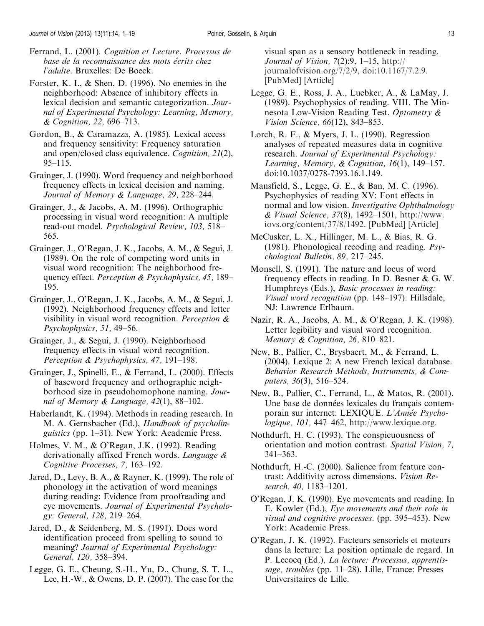- <span id="page-12-0"></span>Ferrand, L. (2001). Cognition et Lecture. Processus de base de la reconnaissance des mots écrits chez l'adulte. Bruxelles: De Boeck.
- Forster, K. I., & Shen, D. (1996). No enemies in the neighborhood: Absence of inhibitory effects in lexical decision and semantic categorization. Journal of Experimental Psychology: Learning, Memory, & Cognition, 22, 696–713.
- Gordon, B., & Caramazza, A. (1985). Lexical access and frequency sensitivity: Frequency saturation and open/closed class equivalence. Cognition, 21(2), 95–115.
- Grainger, J. (1990). Word frequency and neighborhood frequency effects in lexical decision and naming. Journal of Memory & Language, 29, 228–244.
- Grainger, J., & Jacobs, A. M. (1996). Orthographic processing in visual word recognition: A multiple read-out model. Psychological Review, 103, 518– 565.
- Grainger, J., O'Regan, J. K., Jacobs, A. M., & Segui, J. (1989). On the role of competing word units in visual word recognition: The neighborhood frequency effect. Perception & Psychophysics, 45, 189– 195.
- Grainger, J., O'Regan, J. K., Jacobs, A. M., & Segui, J. (1992). Neighborhood frequency effects and letter visibility in visual word recognition. Perception & Psychophysics, 51, 49–56.
- Grainger, J., & Segui, J. (1990). Neighborhood frequency effects in visual word recognition. Perception & Psychophysics, 47, 191–198.
- Grainger, J., Spinelli, E., & Ferrand, L. (2000). Effects of baseword frequency and orthographic neighborhood size in pseudohomophone naming. Journal of Memory & Language,  $42(1)$ , 88-102.
- Haberlandt, K. (1994). Methods in reading research. In M. A. Gernsbacher (Ed.), Handbook of psycholinguistics (pp. 1–31). New York: Academic Press.
- Holmes, V. M., & O'Regan, J.K. (1992). Reading derivationally affixed French words. Language & Cognitive Processes, 7, 163–192.
- Jared, D., Levy, B. A., & Rayner, K. (1999). The role of phonology in the activation of word meanings during reading: Evidence from proofreading and eye movements. Journal of Experimental Psychology: General, 128, 219–264.
- Jared, D., & Seidenberg, M. S. (1991). Does word identification proceed from spelling to sound to meaning? Journal of Experimental Psychology: General, 120, 358–394.
- Legge, G. E., Cheung, S.-H., Yu, D., Chung, S. T. L., Lee, H.-W., & Owens, D. P. (2007). The case for the

visual span as a sensory bottleneck in reading. Journal of Vision, 7(2):9, 1–15, [http://](http://journalofvision.org/7/2/9) [journalofvision.org/7/2/9](http://journalofvision.org/7/2/9), doi:10.1167/7.2.9. [[PubMed](http://www.ncbi.nlm.nih.gov/pubmed/18217824)] [[Article\]](http://www.journalofvision.org/content/7/2/9.long)

- Legge, G. E., Ross, J. A., Luebker, A., & LaMay, J. (1989). Psychophysics of reading. VIII. The Minnesota Low-Vision Reading Test. Optometry & Vision Science, 66(12), 843–853.
- Lorch, R. F., & Myers, J. L. (1990). Regression analyses of repeated measures data in cognitive research. Journal of Experimental Psychology: Learning, Memory, & Cognition, 16(1), 149–157. doi:10.1037/0278-7393.16.1.149.
- Mansfield, S., Legge, G. E., & Ban, M. C. (1996). Psychophysics of reading XV: Font effects in normal and low vision. Investigative Ophthalmology & Visual Science, 37(8), 1492–1501, [http://www.](http://www.iovs.org/content/37/8/1492) [iovs.org/content/37/8/1492](http://www.iovs.org/content/37/8/1492). [[PubMed](http://www.ncbi.nlm.nih.gov/pubmed/8675391)] [[Article\]](http://www.iovs.org/content/37/8/1492.long)
- McCusker, L. X., Hillinger, M. L., & Bias, R. G. (1981). Phonological recoding and reading. Psychological Bulletin, 89, 217–245.
- Monsell, S. (1991). The nature and locus of word frequency effects in reading. In D. Besner & G. W. Humphreys (Eds.), Basic processes in reading: Visual word recognition (pp. 148–197). Hillsdale, NJ: Lawrence Erlbaum.
- Nazir, R. A., Jacobs, A. M., & O'Regan, J. K. (1998). Letter legibility and visual word recognition. Memory & Cognition, 26, 810–821.
- New, B., Pallier, C., Brysbaert, M., & Ferrand, L. (2004). Lexique 2: A new French lexical database. Behavior Research Methods, Instruments, & Computers, 36(3), 516–524.
- New, B., Pallier, C., Ferrand, L., & Matos, R. (2001). Une base de données lexicales du français contemporain sur internet: LEXIQUE. L'Année Psychologique, 101, 447–462, <http://www.lexique.org>.
- Nothdurft, H. C. (1993). The conspicuousness of orientation and motion contrast. Spatial Vision, 7, 341–363.
- Nothdurft, H.-C. (2000). Salience from feature contrast: Additivity across dimensions. Vision Research, 40, 1183–1201.
- O'Regan, J. K. (1990). Eye movements and reading. In E. Kowler (Ed.), Eye movements and their role in visual and cognitive processes. (pp. 395–453). New York: Academic Press.
- O'Regan, J. K. (1992). Facteurs sensoriels et moteurs dans la lecture: La position optimale de regard. In P. Lecocq (Ed.), La lecture: Processus, apprentissage, troubles (pp. 11–28). Lille, France: Presses Universitaires de Lille.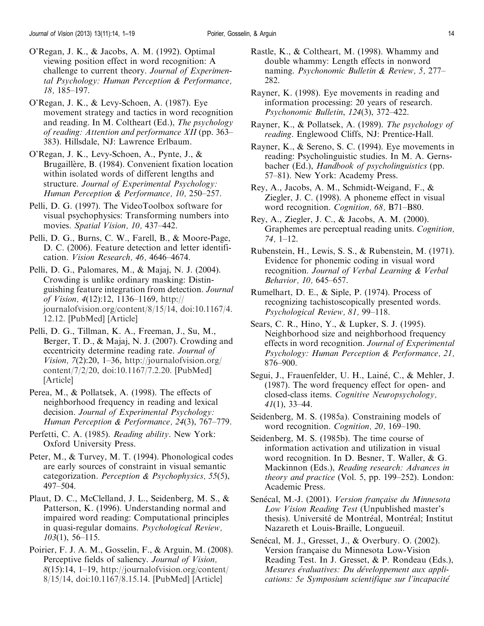- <span id="page-13-0"></span>O'Regan, J. K., & Jacobs, A. M. (1992). Optimal viewing position effect in word recognition: A challenge to current theory. Journal of Experimental Psychology: Human Perception & Performance, 18, 185–197.
- O'Regan, J. K., & Levy-Schoen, A. (1987). Eye movement strategy and tactics in word recognition and reading. In M. Coltheart (Ed.), The psychology of reading: Attention and performance XII (pp. 363– 383). Hillsdale, NJ: Lawrence Erlbaum.
- O'Regan, J. K., Levy-Schoen, A., Pynte, J., & Brugaillère, B. (1984). Convenient fixation location within isolated words of different lengths and structure. Journal of Experimental Psychology: Human Perception & Performance, 10, 250–257.
- Pelli, D. G. (1997). The VideoToolbox software for visual psychophysics: Transforming numbers into movies. Spatial Vision, 10, 437–442.
- Pelli, D. G., Burns, C. W., Farell, B., & Moore-Page, D. C. (2006). Feature detection and letter identification. Vision Research, 46, 4646–4674.
- Pelli, D. G., Palomares, M., & Majaj, N. J. (2004). Crowding is unlike ordinary masking: Distinguishing feature integration from detection. Journal of Vision, 4(12):12, 1136–1169, [http://](http://journalofvision.org/content/8/15/14) [journalofvision.org/content/8/15/14,](http://journalofvision.org/content/8/15/14) doi:10.1167/4. 12.12. [\[PubMed\]](http://www.ncbi.nlm.nih.gov/pubmed/15669917) [\[Article](http://www.journalofvision.org/content/4/12/12.long)]
- Pelli, D. G., Tillman, K. A., Freeman, J., Su, M., Berger, T. D., & Majaj, N. J. (2007). Crowding and eccentricity determine reading rate. Journal of Vision,  $7(2)$ :20, 1–36, [http://journalofvision.org/](http://journalofvision.org/content/7/2/20) [content/7/2/20,](http://journalofvision.org/content/7/2/20) doi:10.1167/7.2.20. [\[PubMed\]](http://www.ncbi.nlm.nih.gov/pubmed/18217835) [[Article\]](http://www.journalofvision.org/content/7/2/20.long)
- Perea, M., & Pollatsek, A. (1998). The effects of neighborhood frequency in reading and lexical decision. Journal of Experimental Psychology: Human Perception & Performance, 24(3), 767–779.
- Perfetti, C. A. (1985). Reading ability. New York: Oxford University Press.
- Peter, M., & Turvey, M. T. (1994). Phonological codes are early sources of constraint in visual semantic categorization. Perception  $& Psychophysics, 55(5),$ 497–504.
- Plaut, D. C., McClelland, J. L., Seidenberg, M. S., & Patterson, K. (1996). Understanding normal and impaired word reading: Computational principles in quasi-regular domains. Psychological Review, 103(1), 56–115.
- Poirier, F. J. A. M., Gosselin, F., & Arguin, M. (2008). Perceptive fields of saliency. Journal of Vision,  $8(15):14$ , 1–19, [http://journalofvision.org/content/](http://journalofvision.org/content/8/15/14) [8/15/14,](http://journalofvision.org/content/8/15/14) doi:10.1167/8.15.14. [[PubMed\]](http://www.ncbi.nlm.nih.gov/pubmed/19146298) [[Article](http://www.journalofvision.org/content/8/15/14.long)]
- Rastle, K., & Coltheart, M. (1998). Whammy and double whammy: Length effects in nonword naming. Psychonomic Bulletin & Review, 5, 277– 282.
- Rayner, K. (1998). Eye movements in reading and information processing: 20 years of research. Psychonomic Bulletin, 124(3), 372–422.
- Rayner, K., & Pollatsek, A. (1989). The psychology of reading. Englewood Cliffs, NJ: Prentice-Hall.
- Rayner, K., & Sereno, S. C. (1994). Eye movements in reading: Psycholinguistic studies. In M. A. Gernsbacher (Ed.), Handbook of psycholinguistics (pp. 57–81). New York: Academy Press.
- Rey, A., Jacobs, A. M., Schmidt-Weigand, F., & Ziegler, J. C. (1998). A phoneme effect in visual word recognition. Cognition, 68, B71–B80.
- Rey, A., Ziegler, J. C., & Jacobs, A. M. (2000). Graphemes are perceptual reading units. Cognition, 74, 1–12.
- Rubenstein, H., Lewis, S. S., & Rubenstein, M. (1971). Evidence for phonemic coding in visual word recognition. Journal of Verbal Learning & Verbal Behavior, 10, 645–657.
- Rumelhart, D. E., & Siple, P. (1974). Process of recognizing tachistoscopically presented words. Psychological Review, 81, 99–118.
- Sears, C. R., Hino, Y., & Lupker, S. J. (1995). Neighborhood size and neighborhood frequency effects in word recognition. Journal of Experimental Psychology: Human Perception & Performance, 21, 876–900.
- Segui, J., Frauenfelder, U. H., Lainé, C., & Mehler, J. (1987). The word frequency effect for open- and closed-class items. Cognitive Neuropsychology,  $41(1)$ , 33–44.
- Seidenberg, M. S. (1985a). Constraining models of word recognition. Cognition, 20, 169–190.
- Seidenberg, M. S. (1985b). The time course of information activation and utilization in visual word recognition. In D. Besner, T. Waller, & G. Mackinnon (Eds.), Reading research: Advances in theory and practice (Vol. 5, pp. 199–252). London: Academic Press.
- Senécal, M.-J. (2001). Version française du Minnesota Low Vision Reading Test (Unpublished master's thesis). Université de Montréal, Montréal; Institut Nazareth et Louis-Braille, Longueuil.
- Senécal, M. J., Gresset, J., & Overbury. O. (2002). Version française du Minnesota Low-Vision Reading Test. In J. Gresset, & P. Rondeau (Eds.), Mesures évaluatives: Du développement aux applications: 5e Symposium scientifique sur l'incapacité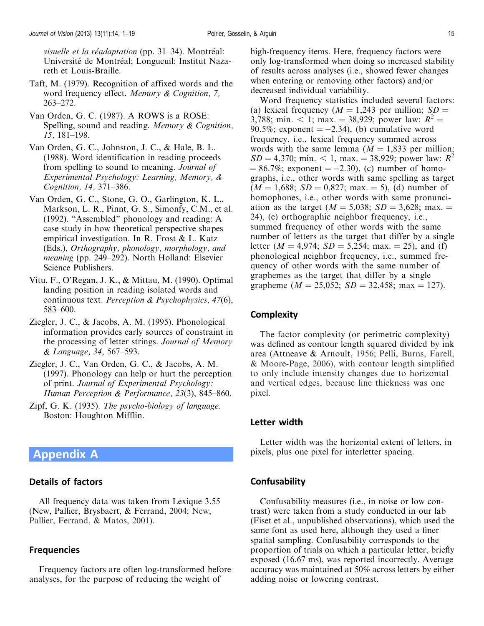<span id="page-14-0"></span>visuelle et la réadaptation (pp. 31–34). Montréal: Université de Montréal; Longueuil: Institut Nazareth et Louis-Braille.

- Taft, M. (1979). Recognition of affixed words and the word frequency effect. Memory & Cognition, 7, 263–272.
- Van Orden, G. C. (1987). A ROWS is a ROSE: Spelling, sound and reading. Memory & Cognition, 15, 181–198.
- Van Orden, G. C., Johnston, J. C., & Hale, B. L. (1988). Word identification in reading proceeds from spelling to sound to meaning. Journal of Experimental Psychology: Learning, Memory, & Cognition, 14, 371–386.
- Van Orden, G. C., Stone, G. O., Garlington, K. L., Markson, L. R., Pinnt, G. S., Simonfy, C.M., et al. (1992). ''Assembled'' phonology and reading: A case study in how theoretical perspective shapes empirical investigation. In R. Frost & L. Katz (Eds.), Orthography, phonology, morphology, and meaning (pp. 249–292). North Holland: Elsevier Science Publishers.
- Vitu, F., O'Regan, J. K., & Mittau, M. (1990). Optimal landing position in reading isolated words and continuous text. *Perception & Psychophysics*,  $47(6)$ , 583–600.
- Ziegler, J. C., & Jacobs, A. M. (1995). Phonological information provides early sources of constraint in the processing of letter strings. Journal of Memory & Language, 34, 567–593.
- Ziegler, J. C., Van Orden, G. C., & Jacobs, A. M. (1997). Phonology can help or hurt the perception of print. Journal of Experimental Psychology: Human Perception & Performance, 23(3), 845–860.
- Zipf, G. K. (1935). The psycho-biology of language. Boston: Houghton Mifflin.

## Appendix A

#### Details of factors

All frequency data was taken from Lexique 3.55 (New, Pallier, Brysbaert, & Ferrand, [2004](#page-12-0); New, Pallier, Ferrand, & Matos, [2001](#page-12-0)).

#### Frequencies

Frequency factors are often log-transformed before analyses, for the purpose of reducing the weight of

high-frequency items. Here, frequency factors were only log-transformed when doing so increased stability of results across analyses (i.e., showed fewer changes when entering or removing other factors) and/or decreased individual variability.

Word frequency statistics included several factors: (a) lexical frequency ( $M = 1,243$  per million;  $SD =$ 3,788; min.  $\lt 1$ ; max. = 38,929; power law:  $R^2$  = 90.5%; exponent  $= -2.34$ ), (b) cumulative word frequency, i.e., lexical frequency summed across words with the same lemma ( $M = 1,833$  per million;  $SD = 4,370$ ; min. < 1, max. = 38,929; power law:  $R^2$  $= 86.7\%$ ; exponent  $= -2.30$ ), (c) number of homographs, i.e., other words with same spelling as target  $(M = 1,688; SD = 0,827; max. = 5)$ , (d) number of homophones, i.e., other words with same pronunciation as the target ( $M = 5,038$ ;  $SD = 3,628$ ; max. = 24), (e) orthographic neighbor frequency, i.e., summed frequency of other words with the same number of letters as the target that differ by a single letter ( $M = 4.974$ ;  $SD = 5.254$ ; max. = 25), and (f) phonological neighbor frequency, i.e., summed frequency of other words with the same number of graphemes as the target that differ by a single grapheme ( $M = 25,052$ ;  $SD = 32,458$ ; max = 127).

#### **Complexity**

The factor complexity (or perimetric complexity) was defined as contour length squared divided by ink area (Attneave & Arnoult, [1956;](#page-11-0) Pelli, Burns, Farell, & Moore-Page, [2006](#page-13-0)), with contour length simplified to only include intensity changes due to horizontal and vertical edges, because line thickness was one pixel.

#### Letter width

Letter width was the horizontal extent of letters, in pixels, plus one pixel for interletter spacing.

#### **Confusability**

Confusability measures (i.e., in noise or low contrast) were taken from a study conducted in our lab (Fiset et al., unpublished observations), which used the same font as used here, although they used a finer spatial sampling. Confusability corresponds to the proportion of trials on which a particular letter, briefly exposed (16.67 ms), was reported incorrectly. Average accuracy was maintained at 50% across letters by either adding noise or lowering contrast.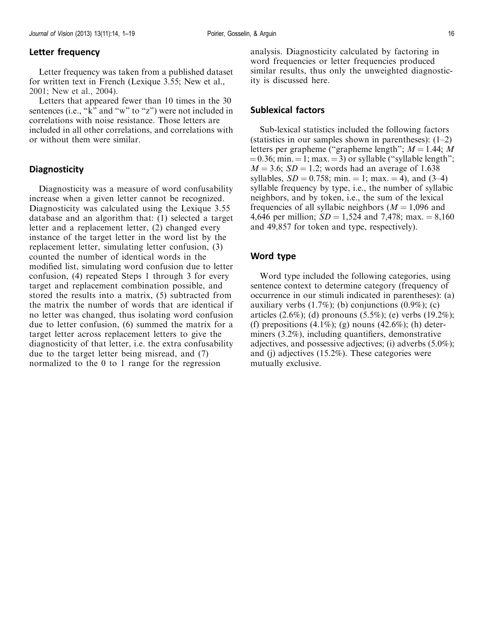#### Letter frequency

Letter frequency was taken from a published dataset for written text in French (Lexique 3.55; New et al., [2001;](#page-12-0) New et al., [2004\)](#page-12-0).

Letters that appeared fewer than 10 times in the 30 sentences (i.e., " $k$ " and " $w$ " to "z") were not included in correlations with noise resistance. Those letters are included in all other correlations, and correlations with or without them were similar.

### **Diagnosticity**

Diagnosticity was a measure of word confusability increase when a given letter cannot be recognized. Diagnosticity was calculated using the Lexique 3.55 database and an algorithm that: (1) selected a target letter and a replacement letter, (2) changed every instance of the target letter in the word list by the replacement letter, simulating letter confusion, (3) counted the number of identical words in the modified list, simulating word confusion due to letter confusion, (4) repeated Steps 1 through 3 for every target and replacement combination possible, and stored the results into a matrix, (5) subtracted from the matrix the number of words that are identical if no letter was changed, thus isolating word confusion due to letter confusion, (6) summed the matrix for a target letter across replacement letters to give the diagnosticity of that letter, i.e. the extra confusability due to the target letter being misread, and (7) normalized to the 0 to 1 range for the regression

analysis. Diagnosticity calculated by factoring in word frequencies or letter frequencies produced similar results, thus only the unweighted diagnosticity is discussed here.

### Sublexical factors

Sub-lexical statistics included the following factors (statistics in our samples shown in parentheses):  $(1-2)$ letters per grapheme ("grapheme length";  $M = 1.44$ ; M  $(0.36; \text{min.} = 1; \text{max.} = 3)$  or syllable ("syllable length";  $M = 3.6$ ;  $SD = 1.2$ ; words had an average of 1.638 syllables,  $SD = 0.758$ ; min. = 1; max. = 4), and (3–4) syllable frequency by type, i.e., the number of syllabic neighbors, and by token, i.e., the sum of the lexical frequencies of all syllabic neighbors ( $M = 1,096$  and 4,646 per million;  $SD = 1,524$  and 7,478; max.  $= 8,160$ and 49,857 for token and type, respectively).

#### Word type

Word type included the following categories, using sentence context to determine category (frequency of occurrence in our stimuli indicated in parentheses): (a) auxiliary verbs  $(1.7\%)$ ; (b) conjunctions  $(0.9\%)$ ; (c) articles (2.6%); (d) pronouns (5.5%); (e) verbs (19.2%); (f) prepositions  $(4.1\%)$ ; (g) nouns  $(42.6\%)$ ; (h) determiners (3.2%), including quantifiers, demonstrative adjectives, and possessive adjectives; (i) adverbs (5.0%); and (j) adjectives (15.2%). These categories were mutually exclusive.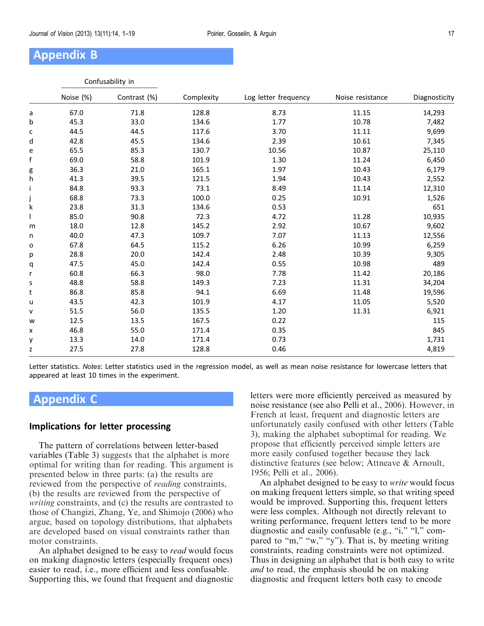Confusability in

### <span id="page-16-0"></span>Appendix B

|              | CONNUSADINIY IN |              |            |                      |                  |               |
|--------------|-----------------|--------------|------------|----------------------|------------------|---------------|
|              | Noise (%)       | Contrast (%) | Complexity | Log letter frequency | Noise resistance | Diagnosticity |
| a            | 67.0            | 71.8         | 128.8      | 8.73                 | 11.15            | 14,293        |
| b            | 45.3            | 33.0         | 134.6      | 1.77                 | 10.78            | 7,482         |
| c            | 44.5            | 44.5         | 117.6      | 3.70                 | 11.11            | 9,699         |
| d            | 42.8            | 45.5         | 134.6      | 2.39                 | 10.61            | 7,345         |
| e            | 65.5            | 85.3         | 130.7      | 10.56                | 10.87            | 25,110        |
| $\mathsf f$  | 69.0            | 58.8         | 101.9      | 1.30                 | 11.24            | 6,450         |
| g            | 36.3            | 21.0         | 165.1      | 1.97                 | 10.43            | 6,179         |
| h            | 41.3            | 39.5         | 121.5      | 1.94                 | 10.43            | 2,552         |
| j.           | 84.8            | 93.3         | 73.1       | 8.49                 | 11.14            | 12,310        |
| j            | 68.8            | 73.3         | 100.0      | 0.25                 | 10.91            | 1,526         |
| k            | 23.8            | 31.3         | 134.6      | 0.53                 |                  | 651           |
| $\mathbf{I}$ | 85.0            | 90.8         | 72.3       | 4.72                 | 11.28            | 10,935        |
| m            | 18.0            | 12.8         | 145.2      | 2.92                 | 10.67            | 9,602         |
| n            | 40.0            | 47.3         | 109.7      | 7.07                 | 11.13            | 12,556        |
| o            | 67.8            | 64.5         | 115.2      | 6.26                 | 10.99            | 6,259         |
| р            | 28.8            | 20.0         | 142.4      | 2.48                 | 10.39            | 9,305         |
| q            | 47.5            | 45.0         | 142.4      | 0.55                 | 10.98            | 489           |
| r            | 60.8            | 66.3         | 98.0       | 7.78                 | 11.42            | 20,186        |
| s            | 48.8            | 58.8         | 149.3      | 7.23                 | 11.31            | 34,204        |
| t            | 86.8            | 85.8         | 94.1       | 6.69                 | 11.48            | 19,596        |
| u            | 43.5            | 42.3         | 101.9      | 4.17                 | 11.05            | 5,520         |
| v            | 51.5            | 56.0         | 135.5      | 1.20                 | 11.31            | 6,921         |
| W            | 12.5            | 13.5         | 167.5      | 0.22                 |                  | 115           |
| X            | 46.8            | 55.0         | 171.4      | 0.35                 |                  | 845           |
| у            | 13.3            | 14.0         | 171.4      | 0.73                 |                  | 1,731         |
| z            | 27.5            | 27.8         | 128.8      | 0.46                 |                  | 4,819         |

Letter statistics. Notes: Letter statistics used in the regression model, as well as mean noise resistance for lowercase letters that appeared at least 10 times in the experiment.

### Appendix C

#### Implications for letter processing

The pattern of correlations between letter-based variables ([Table 3\)](#page-6-0) suggests that the alphabet is more optimal for writing than for reading. This argument is presented below in three parts: (a) the results are reviewed from the perspective of reading constraints, (b) the results are reviewed from the perspective of writing constraints, and (c) the results are contrasted to those of Changizi, Zhang, Ye, and Shimojo ([2006](#page-11-0)) who argue, based on topology distributions, that alphabets are developed based on visual constraints rather than motor constraints.

An alphabet designed to be easy to *read* would focus on making diagnostic letters (especially frequent ones) easier to read, i.e., more efficient and less confusable. Supporting this, we found that frequent and diagnostic letters were more efficiently perceived as measured by noise resistance (see also Pelli et al., [2006](#page-13-0)). However, in French at least, frequent and diagnostic letters are unfortunately easily confused with other letters ([Table](#page-6-0) [3](#page-6-0)), making the alphabet suboptimal for reading. We propose that efficiently perceived simple letters are more easily confused together because they lack distinctive features (see below; Attneave & Arnoult, [1956;](#page-11-0) Pelli et al., [2006](#page-13-0)).

An alphabet designed to be easy to write would focus on making frequent letters simple, so that writing speed would be improved. Supporting this, frequent letters were less complex. Although not directly relevant to writing performance, frequent letters tend to be more diagnostic and easily confusable (e.g., "i," "l," compared to "m," "w," "y"). That is, by meeting writing constraints, reading constraints were not optimized. Thus in designing an alphabet that is both easy to write and to read, the emphasis should be on making diagnostic and frequent letters both easy to encode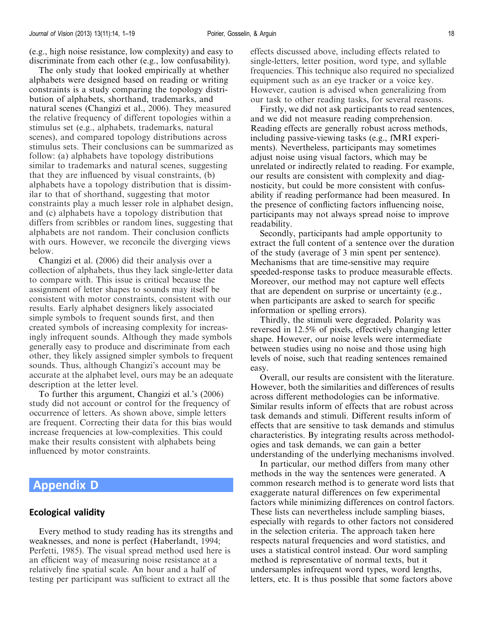<span id="page-17-0"></span>(e.g., high noise resistance, low complexity) and easy to discriminate from each other (e.g., low confusability).

The only study that looked empirically at whether alphabets were designed based on reading or writing constraints is a study comparing the topology distribution of alphabets, shorthand, trademarks, and natural scenes (Changizi et al., [2006\)](#page-11-0). They measured the relative frequency of different topologies within a stimulus set (e.g., alphabets, trademarks, natural scenes), and compared topology distributions across stimulus sets. Their conclusions can be summarized as follow: (a) alphabets have topology distributions similar to trademarks and natural scenes, suggesting that they are influenced by visual constraints, (b) alphabets have a topology distribution that is dissimilar to that of shorthand, suggesting that motor constraints play a much lesser role in alphabet design, and (c) alphabets have a topology distribution that differs from scribbles or random lines, suggesting that alphabets are not random. Their conclusion conflicts with ours. However, we reconcile the diverging views below.

Changizi et al. [\(2006\)](#page-11-0) did their analysis over a collection of alphabets, thus they lack single-letter data to compare with. This issue is critical because the assignment of letter shapes to sounds may itself be consistent with motor constraints, consistent with our results. Early alphabet designers likely associated simple symbols to frequent sounds first, and then created symbols of increasing complexity for increasingly infrequent sounds. Although they made symbols generally easy to produce and discriminate from each other, they likely assigned simpler symbols to frequent sounds. Thus, although Changizi's account may be accurate at the alphabet level, ours may be an adequate description at the letter level.

To further this argument, Changizi et al.'s [\(2006](#page-11-0)) study did not account or control for the frequency of occurrence of letters. As shown above, simple letters are frequent. Correcting their data for this bias would increase frequencies at low-complexities. This could make their results consistent with alphabets being influenced by motor constraints.

### Appendix D

#### Ecological validity

Every method to study reading has its strengths and weaknesses, and none is perfect (Haberlandt, [1994](#page-12-0); Perfetti, [1985\)](#page-13-0). The visual spread method used here is an efficient way of measuring noise resistance at a relatively fine spatial scale. An hour and a half of testing per participant was sufficient to extract all the

effects discussed above, including effects related to single-letters, letter position, word type, and syllable frequencies. This technique also required no specialized equipment such as an eye tracker or a voice key. However, caution is advised when generalizing from our task to other reading tasks, for several reasons.

Firstly, we did not ask participants to read sentences, and we did not measure reading comprehension. Reading effects are generally robust across methods, including passive-viewing tasks (e.g., fMRI experiments). Nevertheless, participants may sometimes adjust noise using visual factors, which may be unrelated or indirectly related to reading. For example, our results are consistent with complexity and diagnosticity, but could be more consistent with confusability if reading performance had been measured. In the presence of conflicting factors influencing noise, participants may not always spread noise to improve readability.

Secondly, participants had ample opportunity to extract the full content of a sentence over the duration of the study (average of 3 min spent per sentence). Mechanisms that are time-sensitive may require speeded-response tasks to produce measurable effects. Moreover, our method may not capture well effects that are dependent on surprise or uncertainty (e.g., when participants are asked to search for specific information or spelling errors).

Thirdly, the stimuli were degraded. Polarity was reversed in 12.5% of pixels, effectively changing letter shape. However, our noise levels were intermediate between studies using no noise and those using high levels of noise, such that reading sentences remained easy.

Overall, our results are consistent with the literature. However, both the similarities and differences of results across different methodologies can be informative. Similar results inform of effects that are robust across task demands and stimuli. Different results inform of effects that are sensitive to task demands and stimulus characteristics. By integrating results across methodologies and task demands, we can gain a better understanding of the underlying mechanisms involved.

In particular, our method differs from many other methods in the way the sentences were generated. A common research method is to generate word lists that exaggerate natural differences on few experimental factors while minimizing differences on control factors. These lists can nevertheless include sampling biases, especially with regards to other factors not considered in the selection criteria. The approach taken here respects natural frequencies and word statistics, and uses a statistical control instead. Our word sampling method is representative of normal texts, but it undersamples infrequent word types, word lengths, letters, etc. It is thus possible that some factors above